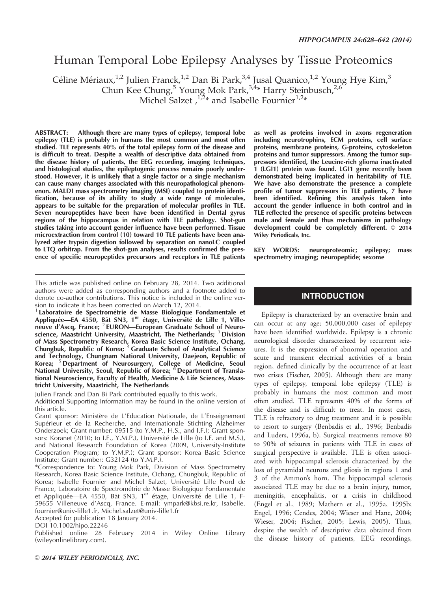# Human Temporal Lobe Epilepsy Analyses by Tissue Proteomics

Céline Mériaux,<sup>1,2</sup> Julien Franck,<sup>1,2</sup> Dan Bi Park,<sup>3,4</sup> Jusal Quanico,<sup>1,2</sup> Young Hye Kim,<sup>3</sup>

Chun Kee Chung,<sup>5</sup> Young Mok Park,<sup>3,4\*</sup> Harry Steinbusch,<sup>2,6</sup>

Michel Salzet,<sup>1,2\*</sup> and Isabelle Fournier<sup>1,2\*</sup>

ABSTRACT: Although there are many types of epilepsy, temporal lobe epilepsy (TLE) is probably in humans the most common and most often studied. TLE represents 40% of the total epilepsy form of the disease and is difficult to treat. Despite a wealth of descriptive data obtained from the disease history of patients, the EEG recording, imaging techniques, and histological studies, the epileptogenic process remains poorly understood. However, it is unlikely that a single factor or a single mechanism can cause many changes associated with this neuropathological phenomenon. MALDI mass spectrometry imaging (MSI) coupled to protein identification, because of its ability to study a wide range of molecules, appears to be suitable for the preparation of molecular profiles in TLE. Seven neuropeptides have been have been identified in Dental gyrus regions of the hippocampus in relation with TLE pathology. Shot-gun studies taking into account gender influence have been performed. Tissue microextraction from control (10) toward 10 TLE patients have been analyzed after trypsin digestion followed by separation on nanoLC coupled to LTQ orbitrap. From the shot-gun analyses, results confirmed the presence of specific neuropeptides precursors and receptors in TLE patients

This article was published online on February 28, 2014. Two additional authors were added as corresponding authors and a footnote added to denote co-author contributions. This notice is included in the online version to indicate it has been corrected on March 12, 2014.

<sup>1</sup> Laboratoire de Spectrométrie de Masse Biologique Fondamentale et Appliquée—EA 4550, Bât SN3, 1<sup>er</sup> étage, Université de Lille 1, Villeneuve d'Ascq, France; <sup>2</sup> EURON—European Graduate School of Neuroscience, Maastricht University, Maastricht, The Netherlands;  $3$  Division of Mass Spectrometry Research, Korea Basic Science Institute, Ochang, Chungbuk, Republic of Korea; <sup>4</sup> Graduate School of Analytical Science and Technology, Chungnam National University, Daejeon, Republic of Korea; <sup>5</sup> Department of Neurosurgery, College of Medicine, Seoul National University, Seoul, Republic of Korea; <sup>6</sup> Department of Translational Neuroscience, Faculty of Health, Medicine & Life Sciences, Maastricht University, Maastricht, The Netherlands

Julien Franck and Dan Bi Park contributed equally to this work.

Additional Supporting Information may be found in the online version of this article.

Grant sponsor: Ministère de L'Education Nationale, de L'Enseignement Supérieur et de la Recherche, and Internationale Stichting Alzheimer Onderzoek; Grant number: 09515 (to Y.M.P., H.S., and I.F.); Grant sponsors: Koranet (2010; to I.F., Y.M.P.), Université de Lille (to I.F. and M.S.), and National Research Foundation of Korea (2009, University-Institute Cooperation Program; to Y.M.P.); Grant sponsor: Korea Basic Science Institute; Grant number: G32124 (to Y.M.P.).

\*Correspondence to: Young Mok Park, Division of Mass Spectrometry Research, Korea Basic Science Institute, Ochang, Chungbuk, Republic of Korea; Isabelle Fournier and Michel Salzet, Université Lille Nord de France, Laboratoire de Spectrométrie de Masse Biologique Fondamentale et Appliquée—EA 4550, Bât SN3, 1<sup>er</sup> étage, Université de Lille 1, F-59655 Villeneuve d'Ascq, France. E-mail: ympark@kbsi.re.kr, Isabelle. fournier@univ-lille1.fr, Michel.salzet@univ-lille1.fr

Accepted for publication 18 January 2014.

DOI 10.1002/hipo.22246

Published online 28 February 2014 in Wiley Online Library (wileyonlinelibrary.com).

as well as proteins involved in axons regeneration including neurotrophins, ECM proteins, cell surface proteins, membrane proteins, G-proteins, cytoskeleton proteins and tumor suppressors. Among the tumor suppressors identified, the Leucine-rich glioma inactivated 1 (LGI1) protein was found. LGI1 gene recently been demonstrated being implicated in heritability of TLE. We have also demonstrate the presence a complete profile of tumor suppressors in TLE patients, 7 have been identified. Refining this analysis taken into account the gender influence in both control and in TLE reflected the presence of specific proteins between male and female and thus mechanisms in pathology development could be completely different.  $\odot$  2014 Wiley Periodicals, Inc.

KEY WORDS: neuroproteomic; epilepsy; mass spectrometry imaging; neuropeptide; sexome

## INTRODUCTION

Epilepsy is characterized by an overactive brain and can occur at any age; 50,000,000 cases of epilepsy have been identified worldwide. Epilepsy is a chronic neurological disorder characterized by recurrent seizures. It is the expression of abnormal operation and acute and transient electrical activities of a brain region, defined clinically by the occurrence of at least two crises (Fischer, 2005). Although there are many types of epilepsy, temporal lobe epilepsy (TLE) is probably in humans the most common and most often studied. TLE represents 40% of the forms of the disease and is difficult to treat. In most cases, TLE is refractory to drug treatment and it is possible to resort to surgery (Benbadis et al., 1996; Benbadis and Luders, 1996a, b). Surgical treatments remove 80 to 90% of seizures in patients with TLE in cases of surgical perspective is available. TLE is often associated with hippocampal sclerosis characterized by the loss of pyramidal neurons and gliosis in regions 1 and 3 of the Ammon's horn. The hippocampal sclerosis associated TLE may be due to a brain injury, tumor, meningitis, encephalitis, or a crisis in childhood (Engel et al., 1989; Mathern et al., 1995a, 1995b; Engel, 1996; Cendes, 2004; Wieser and Hane, 2004; Wieser, 2004; Fischer, 2005; Lewis, 2005). Thus, despite the wealth of descriptive data obtained from the disease history of patients, EEG recordings,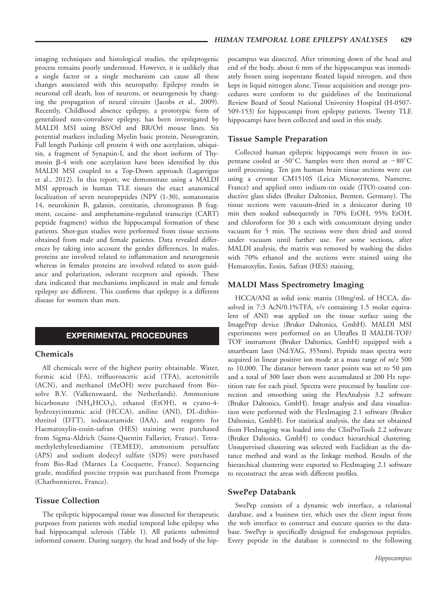imaging techniques and histological studies, the epileptogenic process remains poorly understood. However, it is unlikely that a single factor or a single mechanism can cause all these changes associated with this neuropathy. Epilepsy results in neuronal cell death, loss of neurons, or neurogenesis by changing the propagation of neural circuits (Jacobs et al., 2009). Recently, Childhood absence epilepsy, a prototypic form of generalized non-convulsive epilepsy, has been investigated by MALDI MSI using BS/Orl and BR/Orl mouse lines. Six potential markers including Myelin basic protein, Neurogranin, Full length Purkinje cell protein 4 with one acetylation, ubiquitin, a fragment of Synapsin-I, and the short isoform of Thymosin  $\beta$ -4 with one acetylation have been identified by this MALDI MSI coupled to a Top-Down approach (Lagarrigue et al., 2012). In this report, we demonstrate using a MALDI MSI approach in human TLE tissues the exact anatomical localization of seven neuropeptides (NPY (1-30), somatostatin 14, neurokinin B, galanin, corstitatin, chromogranin B fragment, cocaine- and amphetamine-regulated transcript (CART) peptide fragment) within the hippocampal formation of these patients. Shot-gun studies were performed from tissue sections obtained from male and female patients. Data revealed differences by taking into account the gender differences. In males, proteins are involved related to inflammation and neurogenesis whereas in females proteins are involved related to axon guidance and polarization, odorant receptors and opioids. These data indicated that mechanisms implicated in male and female epilepsy are different. This confirms that epilepsy is a different disease for women than men.

## EXPERIMENTAL PROCEDURES

#### Chemicals

All chemicals were of the highest purity obtainable. Water, formic acid (FA), trifluoroacetic acid (TFA), acetonitrile (ACN), and methanol (MeOH) were purchased from Biosolve B.V. (Valkenswaard, the Netherlands). Ammonium bicarbonate (NH<sub>4</sub>HCO<sub>3</sub>), ethanol (EtOH),  $\alpha$  cyano-4hydroxycinnamic acid (HCCA), aniline (ANI), DL-dithiothreitol (DTT), iodoacetamide (IAA), and reagents for Haematoxylin-eosin-safran (HES) staining were purchased from Sigma-Aldrich (Saint-Quentin Fallavier, France). Tetramethylethylenediamine (TEMED), ammonium persulfate (APS) and sodium dodecyl sulfate (SDS) were purchased from Bio-Rad (Marnes La Cocquette, France). Sequencing grade, modified porcine trypsin was purchased from Promega (Charbonnieres, France).

## Tissue Collection

The epileptic hippocampal tissue was dissected for therapeutic purposes from patients with medial temporal lobe epilepsy who had hippocampal sclerosis (Table 1). All patients submitted informed consent. During surgery, the head and body of the hippocampus was dissected. After trimming down of the head and end of the body, about 6 mm of the hippocampus was immediately frozen using isopentane floated liquid nitrogen, and then kept in liquid nitrogen alone. Tissue acquisition and storage procedures were conform to the guidelines of the Institutional Review Board of Seoul National University Hospital (H-0507- 509-153) for hippocampi from epilepsy patients. Twenty TLE hippocampi have been collected and used in this study.

#### Tissue Sample Preparation

Collected human epileptic hippocampi were frozen in isopentane cooled at -50°C. Samples were then stored at  $-80^{\circ}$ C until processing. Ten µm human brain tissue sections were cut using a cryostat CM1510S (Leica Microsystems, Nanterre, France) and applied onto indium-tin oxide (ITO)-coated conductive glass slides (Bruker Daltonics, Bremen, Germany). The tissue sections were vacuum-dried in a desiccator during 10 min then soaked subsequently in 70% EtOH, 95% EtOH, and chloroform for 30 s each with concomitant drying under vacuum for 5 min. The sections were then dried and stored under vacuum until further use. For some sections, after MALDI analysis, the matrix was removed by washing the slides with 70% ethanol and the sections were stained using the Hematoxylin, Eosin, Safran (HES) staining.

#### MALDI Mass Spectrometry Imaging

HCCA/ANI as solid ionic matrix (10mg/mL of HCCA, dissolved in 7:3 AcN/0.1%TFA, v/v containing 1.5 molar equivalent of ANI) was applied on the tissue surface using the ImagePrep device (Bruker Daltonics, GmbH). MALDI MSI experiments were performed on an Ultraflex II MALDI-TOF/ TOF instrument (Bruker Daltonics, GmbH) equipped with a smartbeam laser (Nd:YAG, 355nm). Peptide mass spectra were acquired in linear positive ion mode at a mass range of  $m/z$  500 to  $10,000$ . The distance between raster points was set to 50  $\mu$ m and a total of 300 laser shots were accumulated at 200 Hz repetition rate for each pixel. Spectra were processed by baseline correction and smoothing using the FlexAnalysis 3.2 software (Bruker Daltonics, GmbH). Image analysis and data visualization were performed with the FlexImaging 2.1 software (Bruker Daltonics, GmbH). For statistical analysis, the data set obtained from FlexImaging was loaded into the ClinProTools 2.2 software (Bruker Daltonics, GmbH) to conduct hierarchical clustering. Unsupervised clustering was selected with Euclidean as the distance method and ward as the linkage method. Results of the hierarchical clustering were exported to FlexImaging 2.1 software to reconstruct the areas with different profiles.

#### SwePep Databank

SwePep consists of a dynamic web interface, a relational database, and a business tier, which uses the client input from the web interface to construct and execute queries to the database. SwePep is specifically designed for endogenous peptides. Every peptide in the database is connected to the following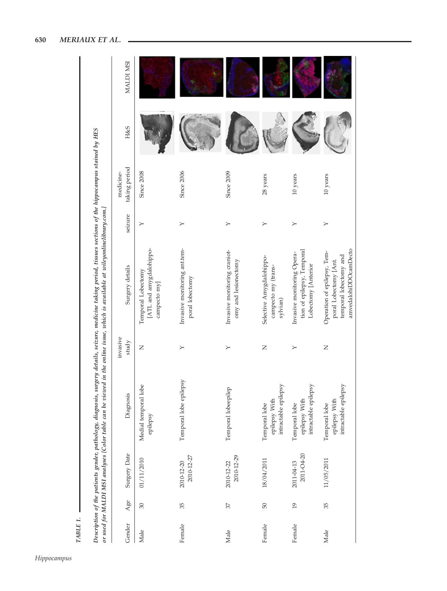|        |                |                          |                                                        |                   | Description of the patients gender, pathology, diagnosis, surgery details, seizure, medicine taking period, tissues sections of the hippocampus stained by HES<br>or used for MALDI MSI analyses [Color table can be viewed in the online issue, which is available at wileyonlinelibrary.com.] |         |                            |                |           |
|--------|----------------|--------------------------|--------------------------------------------------------|-------------------|-------------------------------------------------------------------------------------------------------------------------------------------------------------------------------------------------------------------------------------------------------------------------------------------------|---------|----------------------------|----------------|-----------|
| Gender | Age            | Surgery Date             | Diagnosis                                              | invasive<br>study | Surgery details                                                                                                                                                                                                                                                                                 | seizure | taking period<br>medicine- | <b>H&amp;S</b> | MALDI MSI |
| Male   | 30             | 01/11/2010               | Medial temporal lobe<br>epilepsy                       | $\mathsf{z}$      | [ATL and amygdalohippo-<br>Temporal Lobectomy<br>campecto my]                                                                                                                                                                                                                                   | $\succ$ | Since 2008                 |                |           |
| Female | 35             | 2010-12-27<br>2010-12-20 | Temporal lobe epilepsy                                 | ≻                 | Invasive monitoring ant.tem-<br>poral lobectomy                                                                                                                                                                                                                                                 | $\succ$ | <b>Since 2006</b>          |                |           |
| Male   | 37             | 2010-12-29<br>2010-12-22 | Temporal lobeepilep                                    | ≻                 | Invasive monitoring craniot-<br>omy and lesionectomy                                                                                                                                                                                                                                            | ≻       | Since 2009                 |                |           |
| Female | 50             | 18/04/2011               | intractable epilepsy<br>epilepsy With<br>Temporal lobe | Z                 | Selective Amygdalohippo-<br>campecto my (trans-<br>sylvian)                                                                                                                                                                                                                                     | ≻       | 28 years                   |                |           |
| Female | $\overline{0}$ | 2011-04-20<br>2011-04-13 | intractable epilepsy<br>epilepsy With<br>Temporal lobe | ≻                 | tion of epilepsy, Temporal<br>Invasive monitoring Opera-<br>Lobectomy [Anterior                                                                                                                                                                                                                 | $\succ$ | 10 years                   |                |           |
| Male   | 35             | 11/05/2011               | intractable epilepsy<br>epilepsy With<br>Temporal lobe | $\mathsf{z}$      | amvedalohiDDOcamDecto<br>Operation of epilepsy, Tem-<br>temporal lobectomy and<br>poral Lobectomy [Ant.                                                                                                                                                                                         | $\geq$  | 10 years                   |                |           |

TABLE 1.

TABLE 1.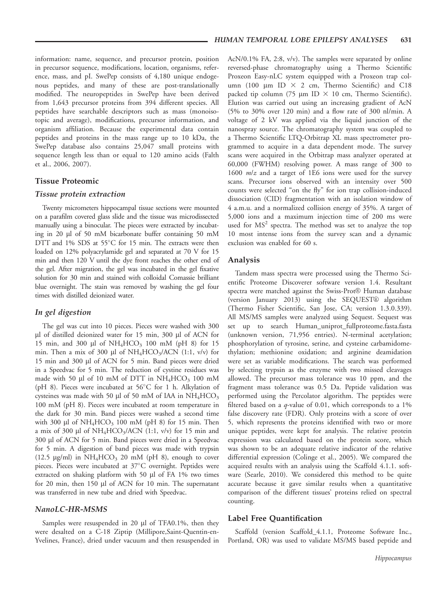information: name, sequence, and precursor protein, position in precursor sequence, modifications, location, organisms, reference, mass, and pI. SwePep consists of 4,180 unique endogenous peptides, and many of these are post-translationally modified. The neuropeptides in SwePep have been derived from 1,643 precursor proteins from 394 different species. All peptides have searchable descriptors such as mass (monoisotopic and average), modifications, precursor information, and organism affiliation. Because the experimental data contain peptides and proteins in the mass range up to 10 kDa, the SwePep database also contains 25,047 small proteins with sequence length less than or equal to 120 amino acids (Falth et al., 2006, 2007).

## Tissue Proteomic

#### Tissue protein extraction

Twenty micrometers hippocampal tissue sections were mounted on a parafilm covered glass slide and the tissue was microdissected manually using a binocular. The pieces were extracted by incubating in 20 ml of 50 mM bicarbonate buffer containing 50 mM DTT and 1% SDS at 55°C for 15 min. The extracts were then loaded on 12% polyacrylamide gel and separated at 70 V for 15 min and then 120 V until the dye front reaches the other end of the gel. After migration, the gel was incubated in the gel fixative solution for 30 min and stained with colloidal Comassie brilliant blue overnight. The stain was removed by washing the gel four times with distilled deionized water.

#### In gel digestion

The gel was cut into 10 pieces. Pieces were washed with 300 µl of distilled deionized water for 15 min, 300 µl of ACN for 15 min, and 300 µl of  $NH_4HCO_3$  100 mM (pH 8) for 15 min. Then a mix of 300 µl of  $NH<sub>4</sub>HCO<sub>3</sub>/ACN$  (1:1, v/v) for 15 min and 300 µl of ACN for 5 min. Band pieces were dried in a Speedvac for 5 min. The reduction of cystine residues was made with 50  $\mu$ l of 10 mM of DTT in NH<sub>4</sub>HCO<sub>3</sub> 100 mM (pH 8). Pieces were incubated at 56°C for 1 h. Alkylation of cysteines was made with 50  $\mu$ l of 50 mM of IAA in NH<sub>4</sub>HCO<sub>3</sub> 100 mM (pH 8). Pieces were incubated at room temperature in the dark for 30 min. Band pieces were washed a second time with 300  $\mu$ l of NH<sub>4</sub>HCO<sub>3</sub> 100 mM (pH 8) for 15 min. Then a mix of 300 µl of  $NH<sub>4</sub>HCO<sub>3</sub>/ACN$  (1:1, v/v) for 15 min and 300 ml of ACN for 5 min. Band pieces were dried in a Speedvac for 5 min. A digestion of band pieces was made with trypsin (12.5  $\mu$ g/ml) in NH<sub>4</sub>HCO<sub>3</sub> 20 mM (pH 8), enough to cover pieces. Pieces were incubated at 37°C overnight. Peptides were extracted on shaking platform with 50 µl of FA 1% two times for 20 min, then 150 µl of ACN for 10 min. The supernatant was transferred in new tube and dried with Speedvac.

#### NanoLC-HR-MSMS

Samples were resuspended in 20  $\mu$ l of TFA0.1%, then they were desalted on a C-18 Ziptip (Millipore,Saint-Quentin-en-Yvelines, France), dried under vacuum and then resuspended in AcN/0.1% FA, 2:8, v/v). The samples were separated by online reversed-phase chromatography using a Thermo Scientific Proxeon Easy-nLC system equipped with a Proxeon trap column (100  $\mu$ m ID  $\times$  2 cm, Thermo Scientific) and C18 packed tip column (75  $\mu$ m ID  $\times$  10 cm, Thermo Scientific). Elution was carried out using an increasing gradient of AcN (5% to 30% over 120 min) and a flow rate of 300 nl/min. A voltage of 2 kV was applied via the liquid junction of the nanospray source. The chromatography system was coupled to a Thermo Scientific LTQ-Orbitrap XL mass spectrometer programmed to acquire in a data dependent mode. The survey scans were acquired in the Orbitrap mass analyzer operated at 60,000 (FWHM) resolving power. A mass range of 300 to 1600  $m/z$  and a target of 1E6 ions were used for the survey scans. Precursor ions observed with an intensity over 500 counts were selected "on the fly" for ion trap collision-induced dissociation (CID) fragmentation with an isolation window of 4 a.m.u. and a normalized collision energy of 35%. A target of 5,000 ions and a maximum injection time of 200 ms were used for  $MS<sup>2</sup>$  spectra. The method was set to analyze the top 10 most intense ions from the survey scan and a dynamic exclusion was enabled for 60 s.

## Analysis

Tandem mass spectra were processed using the Thermo Scientific Proteome Discoverer software version 1.4. Resultant spectra were matched against the Swiss-Prot® Human database (version January 2013) using the SEQUEST® algorithm (Thermo Fisher Scientific, San Jose, CA; version 1.3.0.339). All MS/MS samples were analyzed using Sequest. Sequest was set up to search Human\_uniprot\_fullproteome.fasta.fasta (unknown version, 71,956 entries). N-terminal acetylation; phosphorylation of tyrosine, serine, and cysteine carbamidomethylation; methionine oxidation; and arginine deamidation were set as variable modifications. The search was performed by selecting trypsin as the enzyme with two missed cleavages allowed. The precursor mass tolerance was 10 ppm, and the fragment mass tolerance was 0.5 Da. Peptide validation was performed using the Percolator algorithm. The peptides were filtered based on a  $q$ -value of 0.01, which corresponds to a 1% false discovery rate (FDR). Only proteins with a score of over 5, which represents the proteins identified with two or more unique peptides, were kept for analysis. The relative protein expression was calculated based on the protein score, which was shown to be an adequate relative indicator of the relative differential expression (Colinge et al., 2005). We compared the acquired results with an analysis using the Scaffold 4.1.1. software (Searle, 2010). We considered this method to be quite accurate because it gave similar results when a quantitative comparison of the different tissues' proteins relied on spectral counting.

#### Label Free Quantification

Scaffold (version Scaffold\_4.1.1, Proteome Software Inc., Portland, OR) was used to validate MS/MS based peptide and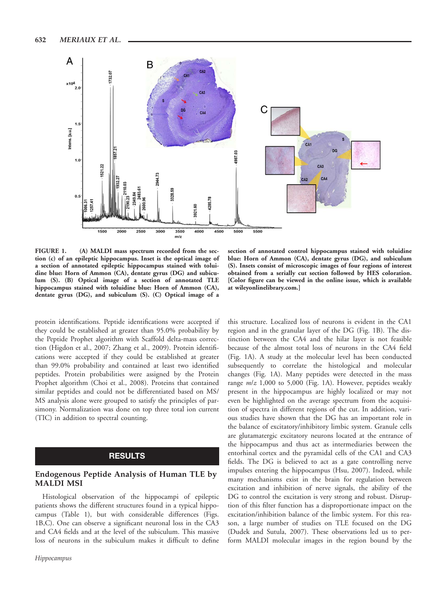

FIGURE 1. (A) MALDI mass spectrum recorded from the section (c) of an epileptic hippocampus. Inset is the optical image of a section of annotated epileptic hippocampus stained with toluidine blue: Horn of Ammon (CA), dentate gyrus (DG) and subiculum (S). (B) Optical image of a section of annotated TLE hippocampus stained with toluidine blue: Horn of Ammon (CA), dentate gyrus (DG), and subiculum (S). (C) Optical image of a

protein identifications. Peptide identifications were accepted if they could be established at greater than 95.0% probability by the Peptide Prophet algorithm with Scaffold delta-mass correction (Higdon et al., 2007; Zhang et al., 2009). Protein identifications were accepted if they could be established at greater than 99.0% probability and contained at least two identified peptides. Protein probabilities were assigned by the Protein Prophet algorithm (Choi et al., 2008). Proteins that contained similar peptides and could not be differentiated based on MS/ MS analysis alone were grouped to satisfy the principles of parsimony. Normalization was done on top three total ion current (TIC) in addition to spectral counting.

# RESULTS

### Endogenous Peptide Analysis of Human TLE by MALDI MSI

Histological observation of the hippocampi of epileptic patients shows the different structures found in a typical hippocampus (Table 1), but with considerable differences (Figs. 1B,C). One can observe a significant neuronal loss in the CA3 and CA4 fields and at the level of the subiculum. This massive loss of neurons in the subiculum makes it difficult to define

section of annotated control hippocampus stained with toluidine blue: Horn of Ammon (CA), dentate gyrus (DG), and subiculum (S). Insets consist of microscopic images of four regions of interest obtained from a serially cut section followed by HES coloration. [Color figure can be viewed in the online issue, which is available at wileyonlinelibrary.com.]

this structure. Localized loss of neurons is evident in the CA1 region and in the granular layer of the DG (Fig. 1B). The distinction between the CA4 and the hilar layer is not feasible because of the almost total loss of neurons in the CA4 field (Fig. 1A). A study at the molecular level has been conducted subsequently to correlate the histological and molecular changes (Fig. 1A). Many peptides were detected in the mass range  $m/z$  1,000 to 5,000 (Fig. 1A). However, peptides weakly present in the hippocampus are highly localized or may not even be highlighted on the average spectrum from the acquisition of spectra in different regions of the cut. In addition, various studies have shown that the DG has an important role in the balance of excitatory/inhibitory limbic system. Granule cells are glutamatergic excitatory neurons located at the entrance of the hippocampus and thus act as intermediaries between the entorhinal cortex and the pyramidal cells of the CA1 and CA3 fields. The DG is believed to act as a gate controlling nerve impulses entering the hippocampus (Hsu, 2007). Indeed, while many mechanisms exist in the brain for regulation between excitation and inhibition of nerve signals, the ability of the DG to control the excitation is very strong and robust. Disruption of this filter function has a disproportionate impact on the excitation/inhibition balance of the limbic system. For this reason, a large number of studies on TLE focused on the DG (Dudek and Sutula, 2007). These observations led us to perform MALDI molecular images in the region bound by the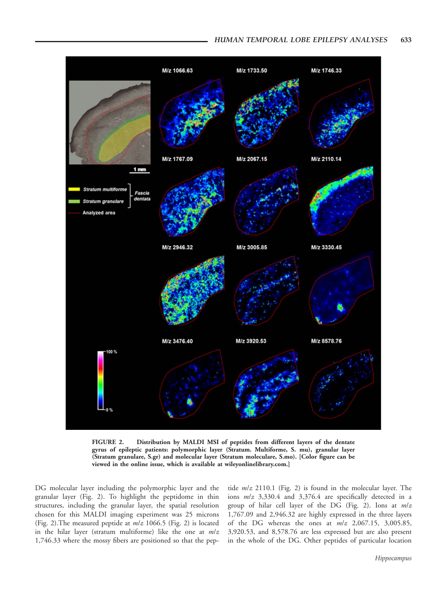

FIGURE 2. Distribution by MALDI MSI of peptides from different layers of the dentate gyrus of epileptic patients: polymorphic layer (Stratum. Multiforme, S. mu), granular layer (Stratum granulare, S.gr) and molecular layer (Stratum moleculare, S.mo). [Color figure can be viewed in the online issue, which is available at wileyonlinelibrary.com.]

DG molecular layer including the polymorphic layer and the granular layer (Fig. 2). To highlight the peptidome in thin structures, including the granular layer, the spatial resolution chosen for this MALDI imaging experiment was 25 microns (Fig. 2). The measured peptide at  $m/z$  1066.5 (Fig. 2) is located in the hilar layer (stratum multiforme) like the one at  $m/z$ 1,746.33 where the mossy fibers are positioned so that the peptide m/z 2110.1 (Fig. 2) is found in the molecular layer. The ions m/z 3,330.4 and 3,376.4 are specifically detected in a group of hilar cell layer of the DG (Fig. 2). Ions at  $m/z$ 1,767.09 and 2,946.32 are highly expressed in the three layers of the DG whereas the ones at  $m/z$  2,067.15, 3,005.85, 3,920.53, and 8,578.76 are less expressed but are also present in the whole of the DG. Other peptides of particular location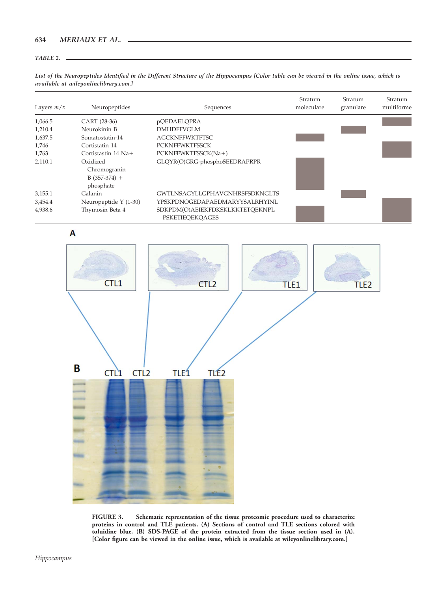#### TABLE 2.

List of the Neuropeptides Identified in the Different Structure of the Hippocampus [Color table can be viewed in the online issue, which is available at wileyonlinelibrary.com.]

| Layers $m/z$ | Neuropeptides                                           | Sequences                                                 | Stratum<br>moleculare | Stratum<br>granulare | Stratum<br>multiforme |
|--------------|---------------------------------------------------------|-----------------------------------------------------------|-----------------------|----------------------|-----------------------|
| 1,066.5      | CART (28-36)                                            | pQEDAELQPRA                                               |                       |                      |                       |
| 1,210.4      | Neurokinin B                                            | <b>DMHDFFVGLM</b>                                         |                       |                      |                       |
| 1,637.5      | Somatostatin-14                                         | <b>AGCKNFFWKTFTSC</b>                                     |                       |                      |                       |
| 1,746        | Cortistatin 14                                          | <b>PCKNFFWKTFSSCK</b>                                     |                       |                      |                       |
| 1,763        | Cortistastin $14$ Na+                                   | PCKNFFWKTFSSCK(Na+)                                       |                       |                      |                       |
| 2,110.1      | Oxidized<br>Chromogranin<br>$B(357-374) +$<br>phosphate | GLQYR(O)GRG-phosphoSEEDRAPRPR                             |                       |                      |                       |
| 3,155.1      | Galanin                                                 | <b>GWTLNSAGYLLGPHAVGNHRSFSDKNGLTS</b>                     |                       |                      |                       |
| 3,454.4      | Neuropeptide $Y(1-30)$                                  | YPSKPDNOGEDAPAEDMARYYSALRHYINL                            |                       |                      |                       |
| 4,938.6      | Thymosin Beta 4                                         | SDKPDM(O)AEIEKFDKSKLKKTETOEKNPL<br><b>PSKETIEOEKOAGES</b> |                       |                      |                       |

A



FIGURE 3. Schematic representation of the tissue proteomic procedure used to characterize proteins in control and TLE patients. (A) Sections of control and TLE sections colored with toluidine blue. (B) SDS-PAGE of the protein extracted from the tissue section used in (A). [Color figure can be viewed in the online issue, which is available at wileyonlinelibrary.com.]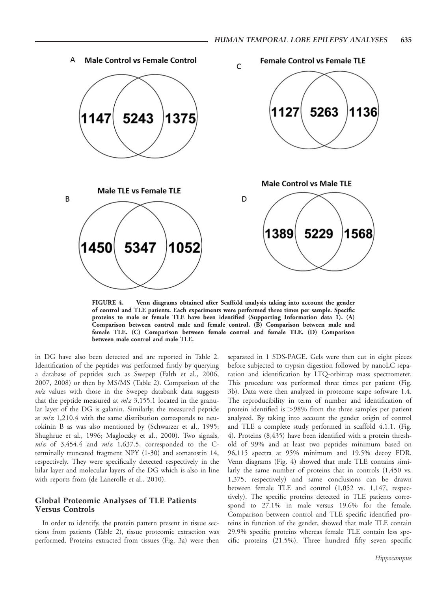

FIGURE 4. Venn diagrams obtained after Scaffold analysis taking into account the gender of control and TLE patients. Each experiments were performed three times per sample. Specific proteins to male or female TLE have been identified (Supporting Information data 1). (A) Comparison between control male and female control. (B) Comparison between male and female TLE. (C) Comparison between female control and female TLE. (D) Comparison between male control and male TLE.

in DG have also been detected and are reported in Table 2. Identification of the peptides was performed firstly by querying a database of peptides such as Swepep (Falth et al., 2006, 2007, 2008) or then by MS/MS (Table 2). Comparison of the  $m/z$  values with those in the Swepep databank data suggests that the peptide measured at  $m/z$  3,155.1 located in the granular layer of the DG is galanin. Similarly, the measured peptide at  $m/z$  1,210.4 with the same distribution corresponds to neurokinin B as was also mentioned by (Schwarzer et al., 1995; Shughrue et al., 1996; Magloczky et al., 2000). Two signals,  $m/z$  of 3,454.4 and  $m/z$  1,637.5, corresponded to the Cterminally truncated fragment NPY (1-30) and somatostin 14, respectively. They were specifically detected respectively in the hilar layer and molecular layers of the DG which is also in line with reports from (de Lanerolle et al., 2010).

## Global Proteomic Analyses of TLE Patients Versus Controls

In order to identify, the protein pattern present in tissue sections from patients (Table 2), tissue proteomic extraction was performed. Proteins extracted from tissues (Fig. 3a) were then

separated in 1 SDS-PAGE. Gels were then cut in eight pieces before subjected to trypsin digestion followed by nanoLC separation and identification by LTQ-orbitrap mass spectrometer. This procedure was performed three times per patient (Fig. 3b). Data were then analyzed in proteome scape software 1.4. The reproducibility in term of number and identification of protein identified is >98% from the three samples per patient analyzed. By taking into account the gender origin of control and TLE a complete study performed in scaffold 4.1.1. (Fig. 4). Proteins (8,435) have been identified with a protein threshold of 99% and at least two peptides minimum based on 96,115 spectra at 95% minimum and 19.5% decoy FDR. Venn diagrams (Fig. 4) showed that male TLE contains similarly the same number of proteins that in controls (1,450 vs. 1,375, respectively) and same conclusions can be drawn between female TLE and control (1,052 vs. 1,147, respectively). The specific proteins detected in TLE patients correspond to 27.1% in male versus 19.6% for the female. Comparison between control and TLE specific identified proteins in function of the gender, showed that male TLE contain 29.9% specific proteins whereas female TLE contain less specific proteins (21.5%). Three hundred fifty seven specific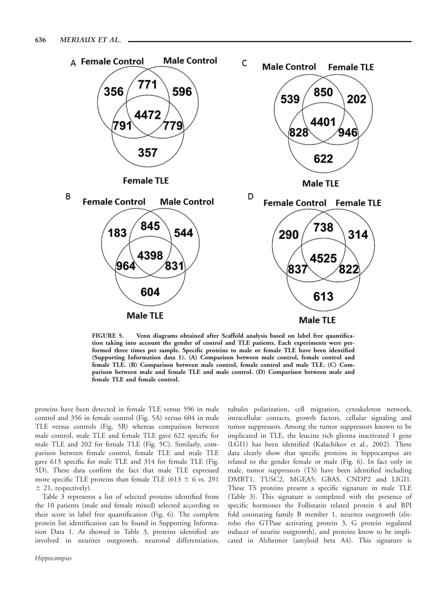

FIGURE 5. Venn diagrams obtained after Scaffold analysis based on label free quantification taking into account the gender of control and TLE patients. Each experiments were performed three times per sample. Specific proteins to male or female TLE have been identified (Supporting Information data 1). (A) Comparison between male control, female control and female TLE. (B) Comparison between male control, female control and male TLE. (C) Comparison between male and female TLE and male control. (D) Comparison between male and female TLE and female control.

proteins have been detected in female TLE versus 596 in male control and 356 in female control (Fig. 5A) versus 604 in male TLE versus controls (Fig. 5B) whereas comparison between male control, male TLE and female TLE gave 622 specific for male TLE and 202 for female TLE (Fig. 5C). Similarly, comparison between female control, female TLE and male TLE gave 613 specific for male TLE and 314 for female TLE (Fig. 5D). These data confirm the fact that male TLE expressed more specific TLE proteins than female TLE (613  $\pm$  6 vs. 291  $±$  21, respectively).

Table 3 represents a list of selected proteins identified from the 10 patients (male and female mixed) selected according to their score in label free quantification (Fig. 6). The complete protein list identification can be found in Supporting Information Data 1. As showed in Table 3, proteins identified are involved in neurites outgrowth, neuronal differentiation,

tubules polarization, cell migration, cytoskeleton network, intracellular contacts, growth factors, cellular signaling and tumor suppressors. Among the tumor suppressors known to be implicated in TLE, the leucine rich glioma inactivated 1 gene (LGI1) has been identified (Kalachikov et al., 2002). These data clearly show that specific proteins in hippocampus are related to the gender female or male (Fig. 6). In fact only in male, tumor suppressors (TS) have been identified including DMBT1, TUSC2, MGEA5; GBAS, CNDP2 and LIGI1. These TS proteins present a specific signature in male TLE (Table 3). This signature is completed with the presence of specific hormones the Follistatin related protein 4 and BPI fold coninating family B member 1, neurites outgrowth (slitrobo rho GTPase activating protein 3, G protein regulated inducer of neurite outgrowth), and proteins know to be implicated in Alzheimer (amyloid beta A4). This signature is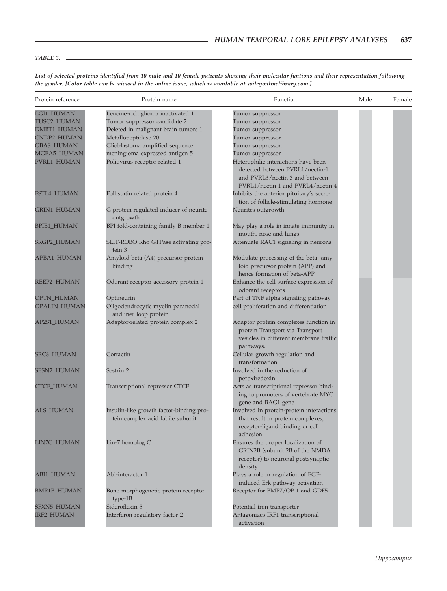## TABLE 3.

| Protein reference | Protein name                            | Function                                 | Male | Female |
|-------------------|-----------------------------------------|------------------------------------------|------|--------|
| LGI1_HUMAN        | Leucine-rich glioma inactivated 1       | Tumor suppressor                         |      |        |
| TUSC2_HUMAN       | Tumor suppressor candidate 2            | Tumor suppressor                         |      |        |
| DMBT1_HUMAN       | Deleted in malignant brain tumors 1     | Tumor suppressor                         |      |        |
| CNDP2_HUMAN       | Metallopeptidase 20                     | Tumor suppressor                         |      |        |
| <b>GBAS_HUMAN</b> | Glioblastoma amplified sequence         | Tumor suppressor.                        |      |        |
| MGEA5_HUMAN       | meningioma expressed antigen 5          | Tumor suppressor                         |      |        |
| PVRL1_HUMAN       | Poliovirus receptor-related 1           | Heterophilic interactions have been      |      |        |
|                   |                                         | detected between PVRL1/nectin-1          |      |        |
|                   |                                         | and PVRL3/nectin-3 and between           |      |        |
|                   |                                         | PVRL1/nectin-1 and PVRL4/nectin-4        |      |        |
| FSTL4_HUMAN       | Follistatin related protein 4           | Inhibits the anterior pituitary's secre- |      |        |
|                   |                                         |                                          |      |        |
|                   |                                         | tion of follicle-stimulating hormone     |      |        |
| GRIN1_HUMAN       | G protein regulated inducer of neurite  | Neurites outgrowth                       |      |        |
|                   | outgrowth 1                             |                                          |      |        |
| BPIB1_HUMAN       | BPI fold-containing family B member 1   | May play a role in innate immunity in    |      |        |
|                   |                                         | mouth, nose and lungs.                   |      |        |
| SRGP2_HUMAN       | SLIT-ROBO Rho GTPase activating pro-    | Attenuate RAC1 signaling in neurons      |      |        |
|                   | tein 3                                  |                                          |      |        |
| APBA1_HUMAN       | Amyloid beta (A4) precursor protein-    | Modulate processing of the beta- amy-    |      |        |
|                   | binding                                 | loid precursor protein (APP) and         |      |        |
|                   |                                         | hence formation of beta-APP              |      |        |
| REEP2_HUMAN       | Odorant receptor accessory protein 1    | Enhance the cell surface expression of   |      |        |
|                   |                                         | odorant receptors                        |      |        |
| OPTN_HUMAN        | Optineurin                              | Part of TNF alpha signaling pathway      |      |        |
| OPALIN_HUMAN      | Oligodendrocytic myelin paranodal       | cell proliferation and differentiation   |      |        |
|                   | and iner loop protein                   |                                          |      |        |
| AP2S1_HUMAN       | Adaptor-related protein complex 2       | Adaptor protein complexes function in    |      |        |
|                   |                                         | protein Transport via Transport          |      |        |
|                   |                                         | vesicles in different membrane traffic   |      |        |
|                   |                                         | pathways.                                |      |        |
| SRC8_HUMAN        | Cortactin                               | Cellular growth regulation and           |      |        |
|                   |                                         | transformation                           |      |        |
| SESN2_HUMAN       | Sestrin 2                               | Involved in the reduction of             |      |        |
|                   |                                         | peroxiredoxin                            |      |        |
| <b>CTCF_HUMAN</b> | Transcriptional repressor CTCF          | Acts as transcriptional repressor bind-  |      |        |
|                   |                                         | ing to promoters of vertebrate MYC       |      |        |
|                   |                                         | gene and BAG1 gene                       |      |        |
| <b>ALS_HUMAN</b>  | Insulin-like growth factor-binding pro- | Involved in protein-protein interactions |      |        |
|                   | tein complex acid labile subunit        | that result in protein complexes,        |      |        |
|                   |                                         | receptor-ligand binding or cell          |      |        |
|                   |                                         | adhesion.                                |      |        |
| LIN7C_HUMAN       | Lin-7 homolog C                         | Ensures the proper localization of       |      |        |
|                   |                                         | GRIN2B (subunit 2B of the NMDA           |      |        |
|                   |                                         | receptor) to neuronal postsynaptic       |      |        |
|                   |                                         | density                                  |      |        |
| ABI1_HUMAN        | Abl-interactor 1                        | Plays a role in regulation of EGF-       |      |        |
|                   |                                         | induced Erk pathway activation           |      |        |
| BMR1B_HUMAN       | Bone morphogenetic protein receptor     | Receptor for BMP7/OP-1 and GDF5          |      |        |
|                   | type-1B                                 |                                          |      |        |
| SFXN5_HUMAN       | Sideroflexin-5                          | Potential iron transporter               |      |        |
| IRF2_HUMAN        | Interferon regulatory factor 2          | Antagonizes IRF1 transcriptional         |      |        |
|                   |                                         | activation                               |      |        |

List of selected proteins identified from 10 male and 10 female patients showing their molecular funtions and their representation following the gender. [Color table can be viewed in the online issue, which is available at wileyonlinelibrary.com.]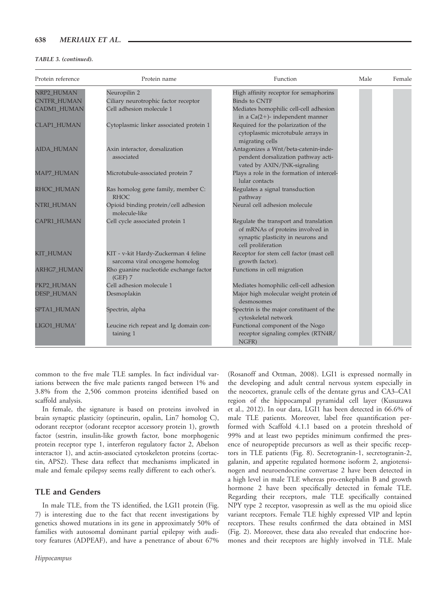#### TABLE 3. (continued).

| Protein reference  | Protein name                                                           | Function                                                                                                                               | Male | Female |
|--------------------|------------------------------------------------------------------------|----------------------------------------------------------------------------------------------------------------------------------------|------|--------|
| NRP2_HUMAN         | Neuropilin 2                                                           | High affinity receptor for semaphorins                                                                                                 |      |        |
| <b>CNTFR_HUMAN</b> | Ciliary neurotrophic factor receptor                                   | <b>Binds to CNTF</b>                                                                                                                   |      |        |
| <b>CADM1_HUMAN</b> | Cell adhesion molecule 1                                               | Mediates homophilic cell-cell adhesion<br>in a $Ca(2+)$ - independent manner                                                           |      |        |
| <b>CLAP1_HUMAN</b> | Cytoplasmic linker associated protein 1                                | Required for the polarization of the<br>cytoplasmic microtubule arrays in<br>migrating cells                                           |      |        |
| <b>AIDA_HUMAN</b>  | Axin interactor, dorsalization<br>associated                           | Antagonizes a Wnt/beta-catenin-inde-<br>pendent dorsalization pathway acti-<br>vated by AXIN/JNK-signaling                             |      |        |
| MAP7_HUMAN         | Microtubule-associated protein 7                                       | Plays a role in the formation of intercel-<br>lular contacts                                                                           |      |        |
| RHOC_HUMAN         | Ras homolog gene family, member C:<br><b>RHOC</b>                      | Regulates a signal transduction<br>pathway                                                                                             |      |        |
| NTRI_HUMAN         | Opioid binding protein/cell adhesion<br>molecule-like                  | Neural cell adhesion molecule                                                                                                          |      |        |
| CAPR1_HUMAN        | Cell cycle associated protein 1                                        | Regulate the transport and translation<br>of mRNAs of proteins involved in<br>synaptic plasticity in neurons and<br>cell proliferation |      |        |
| KIT_HUMAN          | KIT - v-kit Hardy-Zuckerman 4 feline<br>sarcoma viral oncogene homolog | Receptor for stem cell factor (mast cell<br>growth factor).                                                                            |      |        |
| <b>ARHG7_HUMAN</b> | Rho guanine nucleotide exchange factor<br>$(GEF)$ 7                    | Functions in cell migration                                                                                                            |      |        |
| PKP2_HUMAN         | Cell adhesion molecule 1                                               | Mediates homophilic cell-cell adhesion                                                                                                 |      |        |
| <b>DESP_HUMAN</b>  | Desmoplakin                                                            | Major high molecular weight protein of<br>desmosomes                                                                                   |      |        |
| SPTA1_HUMAN        | Spectrin, alpha                                                        | Spectrin is the major constituent of the<br>cytoskeletal network                                                                       |      |        |
| LIGO1_HUMA'        | Leucine rich repeat and Ig domain con-<br>taining 1                    | Functional component of the Nogo<br>receptor signaling complex (RTN4R/<br>NGFR)                                                        |      |        |

common to the five male TLE samples. In fact individual variations between the five male patients ranged between 1% and 3.8% from the 2,506 common proteins identified based on scaffold analysis.

In female, the signature is based on proteins involved in brain synaptic plasticity (optineurin, opalin, Lin7 homolog C), odorant receptor (odorant receptor accessory protein 1), growth factor (sestrin, insulin-like growth factor, bone morphogenic protein receptor type 1, interferon regulatory factor 2, Abelson interactor 1), and actin-associated cytoskeleton proteins (cortactin, APS2). These data reflect that mechanisms implicated in male and female epilepsy seems really different to each other's.

## TLE and Genders

In male TLE, from the TS identified, the LGI1 protein (Fig. 7) is interesting due to the fact that recent investigations by genetics showed mutations in its gene in approximately 50% of families with autosomal dominant partial epilepsy with auditory features (ADPEAF), and have a penetrance of about 67%

(Rosanoff and Ottman, 2008). LGI1 is expressed normally in the developing and adult central nervous system especially in the neocortex, granule cells of the dentate gyrus and CA3–CA1 region of the hippocampal pyramidal cell layer (Kusuzawa et al., 2012). In our data, LGI1 has been detected in 66.6% of male TLE patients. Moreover, label free quantification performed with Scaffold 4.1.1 based on a protein threshold of 99% and at least two peptides minimum confirmed the presence of neuropeptide precursors as well as their specific receptors in TLE patients (Fig. 8). Secretogranin-1, secretogranin-2, galanin, and appetite regulated hormone isoform 2, angiotensinogen and neuroendocrine convertase 2 have been detected in a high level in male TLE whereas pro-enkephalin B and growth hormone 2 have been specifically detected in female TLE. Regarding their receptors, male TLE specifically contained NPY type 2 receptor, vasopressin as well as the mu opioid slice variant receptors. Female TLE highly expressed VIP and leptin receptors. These results confirmed the data obtained in MSI (Fig. 2). Moreover, these data also revealed that endocrine hormones and their receptors are highly involved in TLE. Male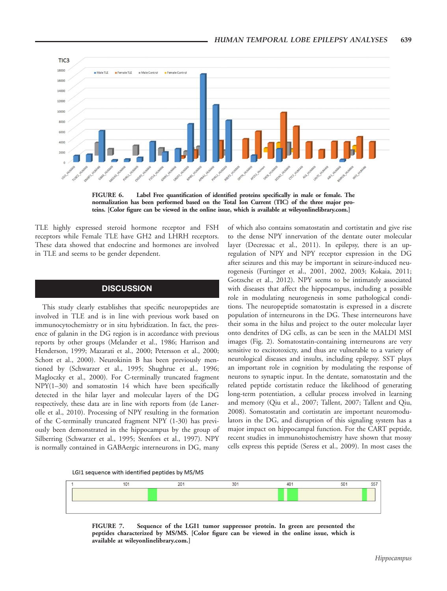

FIGURE 6. Label Free quantification of identified proteins specifically in male or female. The normalization has been performed based on the Total Ion Current (TIC) of the three major proteins. [Color figure can be viewed in the online issue, which is available at wileyonlinelibrary.com.]

TLE highly expressed steroid hormone receptor and FSH receptors while Female TLE have GH2 and LHRH receptors. These data showed that endocrine and hormones are involved in TLE and seems to be gender dependent.

# **DISCUSSION**

This study clearly establishes that specific neuropeptides are involved in TLE and is in line with previous work based on immunocytochemistry or in situ hybridization. In fact, the presence of galanin in the DG region is in accordance with previous reports by other groups (Melander et al., 1986; Harrison and Henderson, 1999; Mazarati et al., 2000; Petersson et al., 2000; Schott et al., 2000). Neurokinin B has been previously mentioned by (Schwarzer et al., 1995; Shughrue et al., 1996; Magloczky et al., 2000). For C-terminally truncated fragment NPY(1–30) and somatostin 14 which have been specifically detected in the hilar layer and molecular layers of the DG respectively, these data are in line with reports from (de Lanerolle et al., 2010). Processing of NPY resulting in the formation of the C-terminally truncated fragment NPY (1-30) has previously been demonstrated in the hippocampus by the group of Silberring (Schwarzer et al., 1995; Stenfors et al., 1997). NPY is normally contained in GABAergic interneurons in DG, many

of which also contains somatostatin and cortistatin and give rise to the dense NPY innervation of the dentate outer molecular layer (Decressac et al., 2011). In epilepsy, there is an upregulation of NPY and NPY receptor expression in the DG after seizures and this may be important in seizure-induced neurogenesis (Furtinger et al., 2001, 2002, 2003; Kokaia, 2011; Gotzsche et al., 2012). NPY seems to be intimately associated with diseases that affect the hippocampus, including a possible role in modulating neurogenesis in some pathological conditions. The neuropeptide somatostatin is expressed in a discrete population of interneurons in the DG. These interneurons have their soma in the hilus and project to the outer molecular layer onto dendrites of DG cells, as can be seen in the MALDI MSI images (Fig. 2). Somatostatin-containing interneurons are very sensitive to excitotoxicty, and thus are vulnerable to a variety of neurological diseases and insults, including epilepsy. SST plays an important role in cognition by modulating the response of neurons to synaptic input. In the dentate, somatostatin and the related peptide cortistatin reduce the likelihood of generating long-term potentiation, a cellular process involved in learning and memory (Qiu et al., 2007; Tallent, 2007; Tallent and Qiu, 2008). Somatostatin and cortistatin are important neuromodulators in the DG, and disruption of this signaling system has a major impact on hippocampal function. For the CART peptide, recent studies in immunohistochemistry have shown that mossy cells express this peptide (Seress et al., 2009). In most cases the





FIGURE 7. Sequence of the LGI1 tumor suppressor protein. In green are presented the peptides characterized by MS/MS. [Color figure can be viewed in the online issue, which is available at wileyonlinelibrary.com.]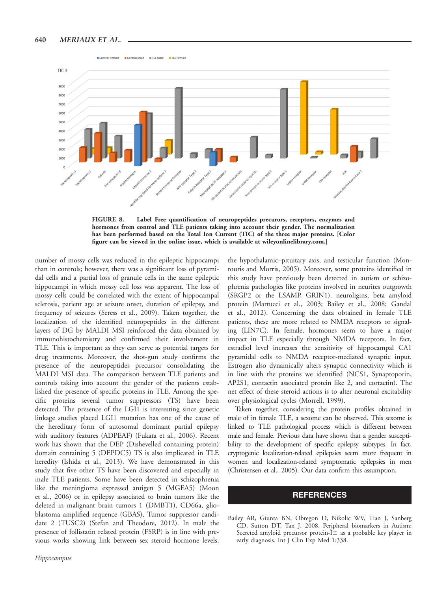

FIGURE 8. Label Free quantification of neuropeptides precurors, receptors, enzymes and hormones from control and TLE patients taking into account their gender. The normalization has been performed based on the Total Ion Current (TIC) of the three major proteins. [Color figure can be viewed in the online issue, which is available at wileyonlinelibrary.com.]

number of mossy cells was reduced in the epileptic hippocampi than in controls; however, there was a significant loss of pyramidal cells and a partial loss of granule cells in the same epileptic hippocampi in which mossy cell loss was apparent. The loss of mossy cells could be correlated with the extent of hippocampal sclerosis, patient age at seizure onset, duration of epilepsy, and frequency of seizures (Seress et al., 2009). Taken together, the localization of the identified neuropeptides in the different layers of DG by MALDI MSI reinforced the data obtained by immunohistochemistry and confirmed their involvement in TLE. This is important as they can serve as potential targets for drug treatments. Moreover, the shot-gun study confirms the presence of the neuropeptides precursor consolidating the MALDI MSI data. The comparison between TLE patients and controls taking into account the gender of the patients established the presence of specific proteins in TLE. Among the specific proteins several tumor suppressors (TS) have been detected. The presence of the LGI1 is interesting since genetic linkage studies placed LGI1 mutation has one of the cause of the hereditary form of autosomal dominant partial epilepsy with auditory features (ADPEAF) (Fukata et al., 2006). Recent work has shown that the DEP (Dishevelled containing protein) domain containing 5 (DEPDC5) TS is also implicated in TLE heredity (Ishida et al., 2013). We have demonstrated in this study that five other TS have been discovered and especially in male TLE patients. Some have been detected in schizophrenia like the meningioma expressed antigen 5 (MGEA5) (Moon et al., 2006) or in epilepsy associated to brain tumors like the deleted in malignant brain tumors 1 (DMBT1), CD66a, glioblastoma amplified sequence (GBAS), Tumor suppressor candidate 2 (TUSC2) (Stefan and Theodore, 2012). In male the presence of follistatin related protein (FSRP) is in line with previous works showing link between sex steroid hormone levels,

the hypothalamic–pituitary axis, and testicular function (Montouris and Morris, 2005). Moreover, some proteins identified in this study have previously been detected in autism or schizophrenia pathologies like proteins involved in neurites outgrowth (SRGP2 or the LSAMP, GRIN1), neuroligins, beta amyloid protein (Martucci et al., 2003; Bailey et al., 2008; Gandal et al., 2012). Concerning the data obtained in female TLE patients, these are more related to NMDA receptors or signaling (LIN7C). In female, hormones seem to have a major impact in TLE especially through NMDA receptors. In fact, estradiol level increases the sensitivity of hippocampal CA1 pyramidal cells to NMDA receptor-mediated synaptic input. Estrogen also dynamically alters synaptic connectivity which is in line with the proteins we identified (NCS1, Synaptoporin, AP2S1, contactin associated protein like 2, and cortactin). The net effect of these steroid actions is to alter neuronal excitability over physiological cycles (Morrell, 1999).

Taken together, considering the protein profiles obtained in male of in female TLE, a sexome can be observed. This sexome is linked to TLE pathological process which is different between male and female. Previous data have shown that a gender susceptibility to the development of specific epilepsy subtypes. In fact, cryptogenic localization-related epilepsies seem more frequent in women and localization-related symptomatic epilepsies in men (Christensen et al., 2005). Our data confirm this assumption.

## **REFERENCES**

Bailey AR, Giunta BN, Obregon D, Nikolic WV, Tian J, Sanberg CD, Sutton DT, Tan J. 2008. Peripheral biomarkers in Autism: Secreted amyloid precursor protein- $I<sup>±</sup>$  as a probable key player in early diagnosis. Int J Clin Exp Med 1:338.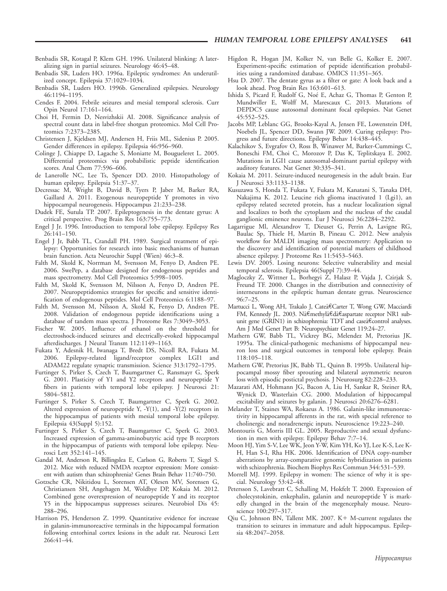- Benbadis SR, Kotagal P, Klem GH. 1996. Unilateral blinking: A lateralizing sign in partial seizures. Neurology 46:45–48.
- Benbadis SR, Luders HO. 1996a. Epileptic syndromes: An underutilized concept. Epilepsia 37:1029–1034.
- Benbadis SR, Luders HO. 1996b. Generalized epilepsies. Neurology 46:1194–1195.
- Cendes F. 2004. Febrile seizures and mesial temporal sclerosis. Curr Opin Neurol 17:161–164.
- Choi H, Fermin D, Nesvizhskii AI. 2008. Significance analysis of spectral count data in label-free shotgun proteomics. Mol Cell Proteomics 7:2373–2385.
- Christensen J, Kjeldsen MJ, Andersen H, Friis ML, Sidenius P. 2005. Gender differences in epilepsy. Epilepsia 46:956–960.
- Colinge J, Chiappe D, Lagache S, Moniatte M, Bougueleret L. 2005. Differential proteomics via probabilistic peptide identification scores. Anal Chem 77:596–606.
- de Lanerolle NC, Lee Ts, Spencer DD. 2010. Histopathology of human epilepsy. Epilepsia 51:37–37.
- Decressac M, Wright B, David B, Tyers P, Jaber M, Barker RA, Gaillard A. 2011. Exogenous neuropeptide Y promotes in vivo hippocampal neurogenesis. Hippocampus 21:233–238.
- Dudek FE, Sutula TP. 2007. Epileptogenesis in the dentate gyrus: A critical perspective. Prog Brain Res 163:755–773.
- Engel J Jr. 1996. Introduction to temporal lobe epilepsy. Epilepsy Res 26:141–150.
- Engel J Jr, Babb TL, Crandall PH. 1989. Surgical treatment of epilepsy: Opportunities for research into basic mechanisms of human brain function. Acta Neurochir Suppl (Wien) 46:3–8.
- Falth M, Skold K, Norrman M, Svensson M, Fenyo D, Andren PE. 2006. SwePep, a database designed for endogenous peptides and mass spectrometry. Mol Cell Proteomics 5:998–1005.
- Falth M, Skold K, Svensson M, Nilsson A, Fenyo D, Andren PE. 2007. Neuropeptidomics strategies for specific and sensitive identification of endogenous peptides. Mol Cell Proteomics 6:1188–97.
- Falth M, Svensson M, Nilsson A, Skold K, Fenyo D, Andren PE. 2008. Validation of endogenous peptide identifications using a database of tandem mass spectra. J Proteome Res 7:3049–3053.
- Fischer W. 2005. Influence of ethanol on the threshold for electroshock-induced seizures and electrically-evoked hippocampal afterdischarges. J Neural Transm 112:1149–1163.
- Fukata Y, Adesnik H, Iwanaga T, Bredt DS, Nicoll RA, Fukata M. 2006. Epilepsy-related ligand/receptor complex LGI1 and ADAM22 regulate synaptic transmission. Science 313:1792–1795.
- Furtinger S, Pirker S, Czech T, Baumgartner C, Ransmayr G, Sperk G. 2001. Plasticity of Y1 and Y2 receptors and neuropeptide Y fibers in patients with temporal lobe epilepsy. J Neurosci 21: 5804–5812.
- Furtinger S, Pirker S, Czech T, Baumgartner C, Sperk G. 2002. Altered expression of neuropeptide Y, -Y(1), and -Y(2) receptors in the hippocampus of patients with mesial temporal lobe epilepsy. Epilepsia 43(Suppl 5):152.
- Furtinger S, Pirker S, Czech T, Baumgartner C, Sperk G. 2003. Increased expression of gamma-aminobutyric acid type B receptors in the hippocampus of patients with temporal lobe epilepsy. Neurosci Lett 352:141–145.
- Gandal M, Anderson R, Billingslea E, Carlson G, Roberts T, Siegel S. 2012. Mice with reduced NMDA receptor expression: More consistent with autism than schizophrenia? Genes Brain Behav 11:740–750.
- Gotzsche CR, Nikitidou L, Sorensen AT, Olesen MV, Sorensen G, Christiansen SH, Angehagen M, Woldbye DP, Kokaia M. 2012. Combined gene overexpression of neuropeptide Y and its receptor Y5 in the hippocampus suppresses seizures. Neurobiol Dis 45: 288–296.
- Harrison PS, Henderson Z. 1999. Quantitative evidence for increase in galanin-immunoreactive terminals in the hippocampal formation following entorhinal cortex lesions in the adult rat. Neurosci Lett 266:41–44.
- Higdon R, Hogan JM, Kolker N, van Belle G, Kolker E. 2007. Experiment-specific estimation of peptide identification probabilities using a randomized database. OMICS 11:351–365.
- Hsu D. 2007. The dentate gyrus as a filter or gate: A look back and a look ahead. Prog Brain Res 163:601–613.
- Ishida S, Picard F, Rudolf G, Noé E, Achaz G, Thomas P, Genton P, Mundwiller E, Wolff M, Marescaux C. 2013. Mutations of DEPDC5 cause autosomal dominant focal epilepsies. Nat Genet 45:552–525.
- Jacobs MP, Leblanc GG, Brooks-Kayal A, Jensen FE, Lowenstein DH, Noebels JL, Spencer DD, Swann JW. 2009. Curing epilepsy: Progress and future directions. Epilepsy Behav 14:438–445.
- Kalachikov S, Evgrafov O, Ross B, Winawer M, Barker-Cummings C, Boneschi FM, Choi C, Morozov P, Das K, Teplitskaya E. 2002. Mutations in LGI1 cause autosomal-dominant partial epilepsy with auditory features. Nat Genet 30:335–341.
- Kokaia M. 2011. Seizure-induced neurogenesis in the adult brain. Eur J Neurosci 33:1133–1138.
- Kusuzawa S, Honda T, Fukata Y, Fukata M, Kanatani S, Tanaka DH, Nakajima K. 2012. Leucine rich glioma inactivated 1 (Lgi1), an epilepsy related secreted protein, has a nuclear localization signal and localizes to both the cytoplasm and the nucleus of the caudal ganglionic eminence neurons. Eur J Neurosci 36:2284–2292.
- Lagarrigue Ml, Alexandrov T, Dieuset G, Perrin A, Lavigne RG, Baulac Sp, Thiele H, Martin B, Pineau C. 2012. New analysis workflow for MALDI imaging mass spectrometry: Application to the discovery and identification of potential markers of childhood absence epilepsy. J Proteome Res 11:5453–5463.
- Lewis DV. 2005. Losing neurons: Selective vulnerability and mesial temporal sclerosis. Epilepsia 46(Suppl 7):39–44.
- Magloczky Z, Wittner L, Borhegyi Z, Halasz P, Vajda J, Czirjak S, Freund TF. 2000. Changes in the distribution and connectivity of interneurons in the epileptic human dentate gyrus. Neuroscience 96:7–25.
- Martucci L, Wong AH, Trakalo J, Cateâ€Carter T, Wong GW, Macciardi FM, Kennedy JL. 2003. Nâ€methylâ€dâ€aspartate receptor NR1 subunit gene (GRIN1) in schizophrenia: TDT and case $\hat{a} \in \text{control}$  analyses. Am J Med Genet Part B: Neuropsychiatr Genet 119:24–27.
- Mathern GW, Babb TL, Vickrey BG, Melendez M, Pretorius JK. 1995a. The clinical-pathogenic mechanisms of hippocampal neuron loss and surgical outcomes in temporal lobe epilepsy. Brain 118:105–118.
- Mathern GW, Pretorius JK, Babb TL, Quinn B. 1995b. Unilateral hippocampal mossy fiber sprouting and bilateral asymmetric neuron loss with episodic postictal psychosis. J Neurosurg 82:228–233.
- Mazarati AM, Hohmann JG, Bacon A, Liu H, Sankar R, Steiner RA, Wynick D, Wasterlain CG. 2000. Modulation of hippocampal excitability and seizures by galanin. J Neurosci 20:6276–6281.
- Melander T, Staines WA, Rokaeus A. 1986. Galanin-like immunoreactivity in hippocampal afferents in the rat, with special reference to cholinergic and noradrenergic inputs. Neuroscience 19:223–240.
- Montouris G, Morris III GL. 2005. Reproductive and sexual dysfunction in men with epilepsy. Epilepsy Behav 7:7–14.
- Moon HJ, Yim S-V, Lee WK, Jeon Y-W, Kim YH, Ko YJ, Lee K-S, Lee K-H, Han S-I, Rha HK. 2006. Identification of DNA copy-number aberrations by array-comparative genomic hybridization in patients with schizophrenia. Biochem Biophys Res Commun 344:531–539.
- Morrell MJ. 1999. Epilepsy in women: The science of why it is special. Neurology 53:42–48.
- Petersson S, Lavebratt C, Schalling M, Hokfelt T. 2000. Expression of cholecystokinin, enkephalin, galanin and neuropeptide Y is markedly changed in the brain of the megencephaly mouse. Neuroscience 100:297–317.
- Qiu C, Johnson BN, Tallent MK. 2007. K+ M-current regulates the transition to seizures in immature and adult hippocampus. Epilepsia 48:2047–2058.